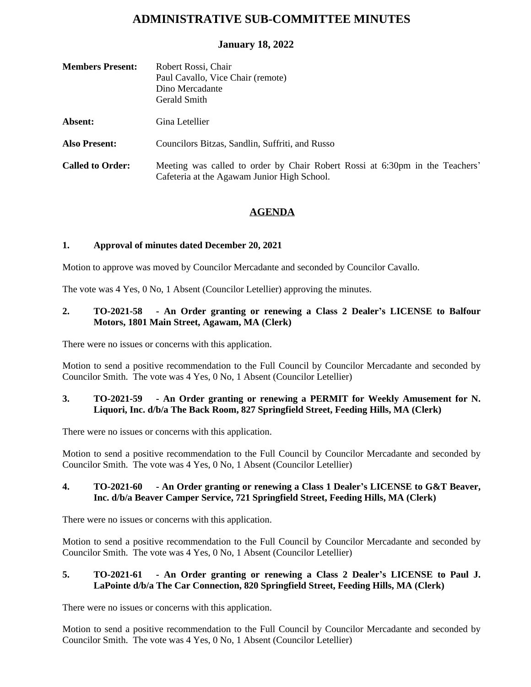# **ADMINISTRATIVE SUB-COMMITTEE MINUTES**

# **January 18, 2022**

| <b>Members Present:</b> | Robert Rossi, Chair<br>Paul Cavallo, Vice Chair (remote)<br>Dino Mercadante<br>Gerald Smith                                 |
|-------------------------|-----------------------------------------------------------------------------------------------------------------------------|
| Absent:                 | Gina Letellier                                                                                                              |
| <b>Also Present:</b>    | Councilors Bitzas, Sandlin, Suffriti, and Russo                                                                             |
| <b>Called to Order:</b> | Meeting was called to order by Chair Robert Rossi at 6:30pm in the Teachers'<br>Cafeteria at the Agawam Junior High School. |

# **AGENDA**

## **1. Approval of minutes dated December 20, 2021**

Motion to approve was moved by Councilor Mercadante and seconded by Councilor Cavallo.

The vote was 4 Yes, 0 No, 1 Absent (Councilor Letellier) approving the minutes.

## **2. TO-2021-58 - An Order granting or renewing a Class 2 Dealer's LICENSE to Balfour Motors, 1801 Main Street, Agawam, MA (Clerk)**

There were no issues or concerns with this application.

Motion to send a positive recommendation to the Full Council by Councilor Mercadante and seconded by Councilor Smith. The vote was 4 Yes, 0 No, 1 Absent (Councilor Letellier)

## **3. TO-2021-59 - An Order granting or renewing a PERMIT for Weekly Amusement for N. Liquori, Inc. d/b/a The Back Room, 827 Springfield Street, Feeding Hills, MA (Clerk)**

There were no issues or concerns with this application.

Motion to send a positive recommendation to the Full Council by Councilor Mercadante and seconded by Councilor Smith. The vote was 4 Yes, 0 No, 1 Absent (Councilor Letellier)

## **4. TO-2021-60 - An Order granting or renewing a Class 1 Dealer's LICENSE to G&T Beaver, Inc. d/b/a Beaver Camper Service, 721 Springfield Street, Feeding Hills, MA (Clerk)**

There were no issues or concerns with this application.

Motion to send a positive recommendation to the Full Council by Councilor Mercadante and seconded by Councilor Smith. The vote was 4 Yes, 0 No, 1 Absent (Councilor Letellier)

## **5. TO-2021-61 - An Order granting or renewing a Class 2 Dealer's LICENSE to Paul J. LaPointe d/b/a The Car Connection, 820 Springfield Street, Feeding Hills, MA (Clerk)**

There were no issues or concerns with this application.

Motion to send a positive recommendation to the Full Council by Councilor Mercadante and seconded by Councilor Smith. The vote was 4 Yes, 0 No, 1 Absent (Councilor Letellier)